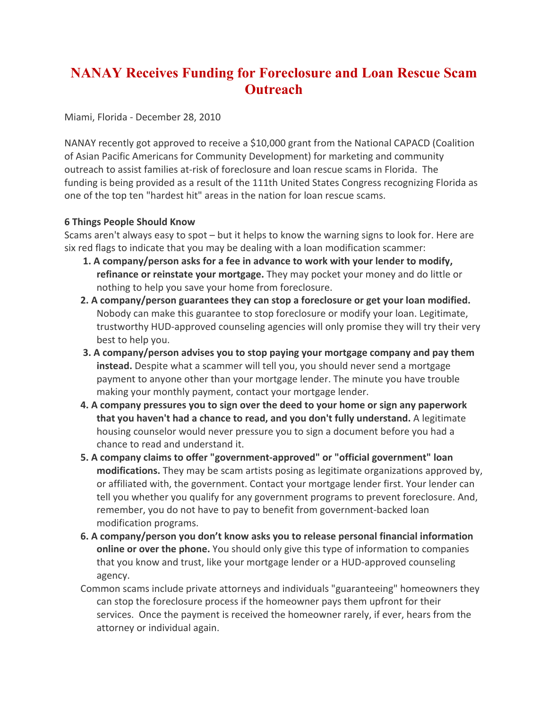## **NANAY Receives Funding for Foreclosure and Loan Rescue Scam Outreach**

Miami, Florida - December 28, 2010

NANAY recently got approved to receive a \$10,000 grant from the National CAPACD (Coalition of Asian Pacific Americans for Community Development) for marketing and community outreach to assist families at-risk of foreclosure and loan rescue scams in Florida. The funding is being provided as a result of the 111th United States Congress recognizing Florida as one of the top ten "hardest hit" areas in the nation for loan rescue scams.

## **6 Things People Should Know**

Scams aren't always easy to spot – but it helps to know the warning signs to look for. Here are six red flags to indicate that you may be dealing with a loan modification scammer:

- **1. A company/person asks for a fee in advance to work with your lender to modify, refinance or reinstate your mortgage.** They may pocket your money and do little or nothing to help you save your home from foreclosure.
- **2. A company/person guarantees they can stop a foreclosure or get your loan modified.** Nobody can make this guarantee to stop foreclosure or modify your loan. Legitimate, trustworthy HUD-approved counseling agencies will only promise they will try their very best to help you.
- **3. A company/person advises you to stop paying your mortgage company and pay them instead.** Despite what a scammer will tell you, you should never send a mortgage payment to anyone other than your mortgage lender. The minute you have trouble making your monthly payment, contact your mortgage lender.
- **4. A company pressures you to sign over the deed to your home or sign any paperwork that you haven't had a chance to read, and you don't fully understand.** A legitimate housing counselor would never pressure you to sign a document before you had a chance to read and understand it.
- **5. A company claims to offer "government-approved" or "official government" loan modifications.** They may be scam artists posing as legitimate organizations approved by, or affiliated with, the government. Contact your mortgage lender first. Your lender can tell you whether you qualify for any government programs to prevent foreclosure. And, remember, you do not have to pay to benefit from government-backed loan modification programs.
- **6. A company/person you don't know asks you to release personal financial information online or over the phone.** You should only give this type of information to companies that you know and trust, like your mortgage lender or a HUD-approved counseling agency.
- Common scams include private attorneys and individuals "guaranteeing" homeowners they can stop the foreclosure process if the homeowner pays them upfront for their services. Once the payment is received the homeowner rarely, if ever, hears from the attorney or individual again.